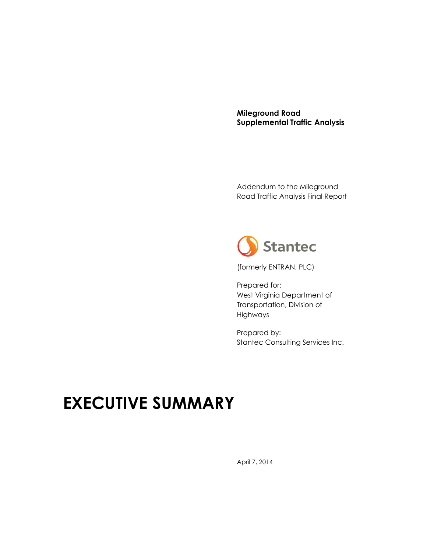**Mileground Road Supplemental Traffic Analysis**

Addendum to the Mileground Road Traffic Analysis Final Report



(formerly ENTRAN, PLC)

Prepared for: West Virginia Department of Transportation, Division of Highways

Prepared by: Stantec Consulting Services Inc.

## **EXECUTIVE SUMMARY**

April 7, 2014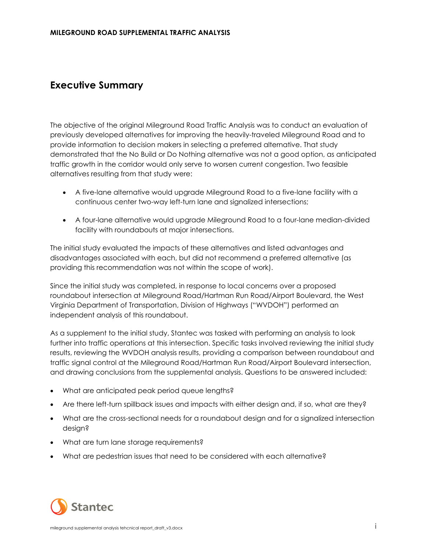## **Executive Summary**

The objective of the original Mileground Road Traffic Analysis was to conduct an evaluation of previously developed alternatives for improving the heavily-traveled Mileground Road and to provide information to decision makers in selecting a preferred alternative. That study demonstrated that the No Build or Do Nothing alternative was not a good option, as anticipated traffic growth in the corridor would only serve to worsen current congestion. Two feasible alternatives resulting from that study were:

- A five-lane alternative would upgrade Mileground Road to a five-lane facility with a continuous center two-way left-turn lane and signalized intersections;
- A four-lane alternative would upgrade Mileground Road to a four-lane median-divided facility with roundabouts at major intersections.

The initial study evaluated the impacts of these alternatives and listed advantages and disadvantages associated with each, but did not recommend a preferred alternative (as providing this recommendation was not within the scope of work).

Since the initial study was completed, in response to local concerns over a proposed roundabout intersection at Mileground Road/Hartman Run Road/Airport Boulevard, the West Virginia Department of Transportation, Division of Highways ("WVDOH") performed an independent analysis of this roundabout.

As a supplement to the initial study, Stantec was tasked with performing an analysis to look further into traffic operations at this intersection. Specific tasks involved reviewing the initial study results, reviewing the WVDOH analysis results, providing a comparison between roundabout and traffic signal control at the Mileground Road/Hartman Run Road/Airport Boulevard intersection, and drawing conclusions from the supplemental analysis. Questions to be answered included:

- What are anticipated peak period queue lengths?
- Are there left-turn spillback issues and impacts with either design and, if so, what are they?
- What are the cross-sectional needs for a roundabout design and for a signalized intersection design?
- What are turn lane storage requirements?
- What are pedestrian issues that need to be considered with each alternative?